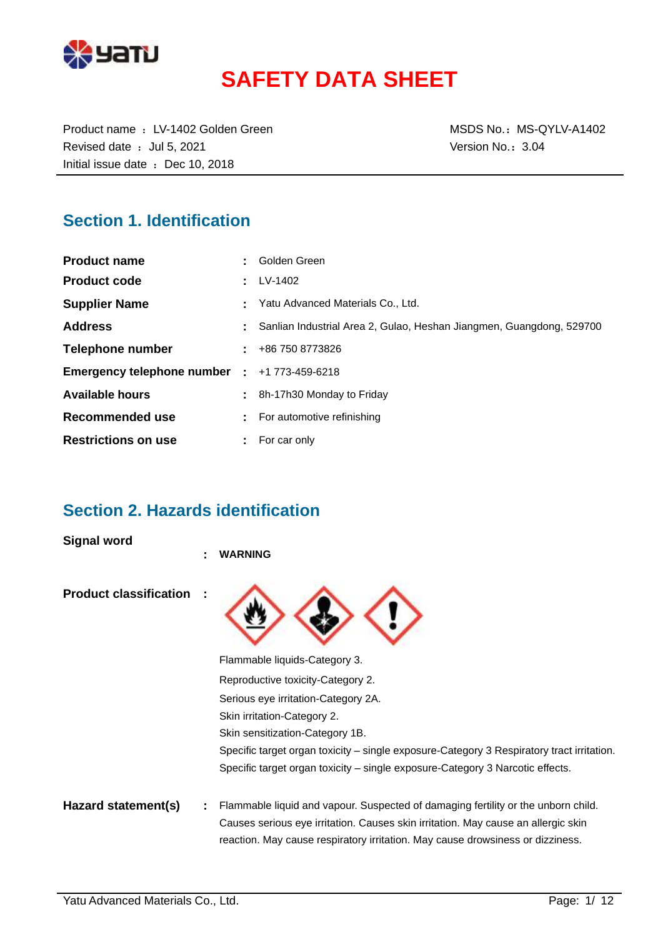

# **SAFETY DATA SHEET**

Product name : LV-1402 Golden Green MSDS No.: MS-QYLV-A1402 Revised date : Jul 5, 2021 Case of the Version No.: 3.04 Initial issue date : Dec 10, 2018

# **Section 1. Identification**

| <b>Product name</b>          | Golden Green                                                         |
|------------------------------|----------------------------------------------------------------------|
| <b>Product code</b>          | LV-1402                                                              |
| <b>Supplier Name</b>         | Yatu Advanced Materials Co., Ltd.                                    |
| <b>Address</b>               | Sanlian Industrial Area 2, Gulao, Heshan Jiangmen, Guangdong, 529700 |
| Telephone number             | $\pm 486$ 750 8773826                                                |
| Emergency telephone number : | +1 773-459-6218                                                      |
| <b>Available hours</b>       | 8h-17h30 Monday to Friday                                            |
| Recommended use              | For automotive refinishing                                           |
| <b>Restrictions on use</b>   | For car only                                                         |

### **Section 2. Hazards identification**

**Signal word**

|                               | ٠ | <b>WARNING</b>                                                                                                                                                      |
|-------------------------------|---|---------------------------------------------------------------------------------------------------------------------------------------------------------------------|
| <b>Product classification</b> |   |                                                                                                                                                                     |
|                               |   | Flammable liquids-Category 3.                                                                                                                                       |
|                               |   | Reproductive toxicity-Category 2.                                                                                                                                   |
|                               |   | Serious eye irritation-Category 2A.                                                                                                                                 |
|                               |   | Skin irritation-Category 2.                                                                                                                                         |
|                               |   | Skin sensitization-Category 1B.                                                                                                                                     |
|                               |   | Specific target organ toxicity – single exposure-Category 3 Respiratory tract irritation.                                                                           |
|                               |   | Specific target organ toxicity – single exposure-Category 3 Narcotic effects.                                                                                       |
| Hazard statement(s)           |   | Flammable liquid and vapour. Suspected of damaging fertility or the unborn child.                                                                                   |
|                               |   | Causes serious eye irritation. Causes skin irritation. May cause an allergic skin<br>reaction. May cause respiratory irritation. May cause drowsiness or dizziness. |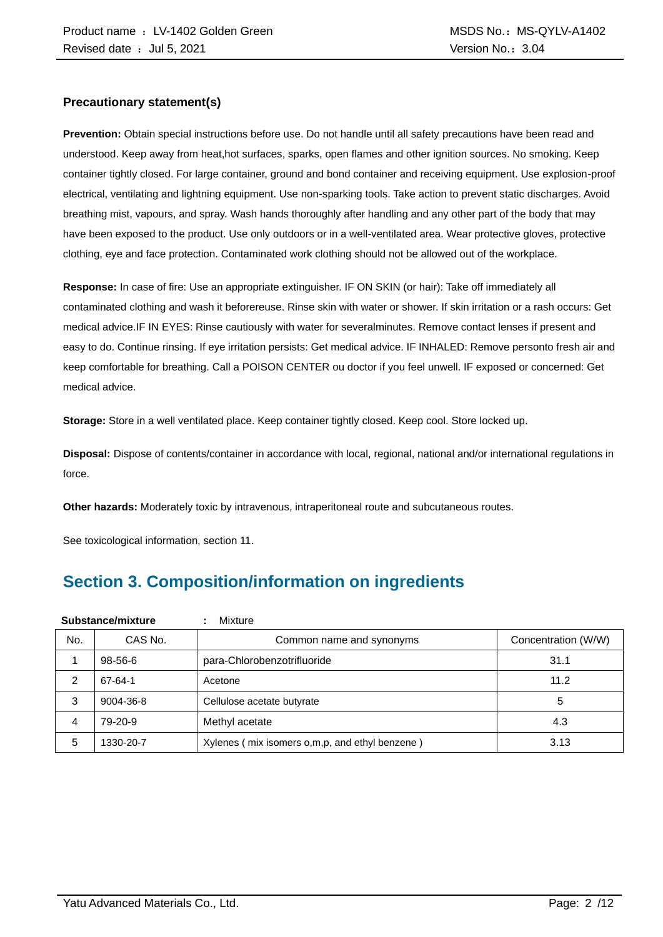### **Precautionary statement(s)**

**Prevention:** Obtain special instructions before use. Do not handle until all safety precautions have been read and understood. Keep away from heat,hot surfaces, sparks, open flames and other ignition sources. No smoking. Keep container tightly closed. For large container, ground and bond container and receiving equipment. Use explosion-proof electrical, ventilating and lightning equipment. Use non-sparking tools. Take action to prevent static discharges. Avoid breathing mist, vapours, and spray. Wash hands thoroughly after handling and any other part of the body that may have been exposed to the product. Use only outdoors or in a well-ventilated area. Wear protective gloves, protective clothing, eye and face protection. Contaminated work clothing should not be allowed out of the workplace.

**Response:** In case of fire: Use an appropriate extinguisher. IF ON SKIN (or hair): Take off immediately all contaminated clothing and wash it beforereuse. Rinse skin with water or shower. If skin irritation or a rash occurs: Get medical advice.IF IN EYES: Rinse cautiously with water for severalminutes. Remove contact lenses if present and easy to do. Continue rinsing. If eye irritation persists: Get medical advice. IF INHALED: Remove personto fresh air and keep comfortable for breathing. Call a POISON CENTER ou doctor if you feel unwell. IF exposed or concerned: Get medical advice.

**Storage:** Store in a well ventilated place. Keep container tightly closed. Keep cool. Store locked up.

**Disposal:** Dispose of contents/container in accordance with local, regional, national and/or international regulations in force.

**Other hazards:** Moderately toxic by intravenous, intraperitoneal route and subcutaneous routes.

See toxicological information, section 11.

# **Section 3. Composition/information on ingredients**

| Substance/mixture |                                     | Mixture                                        |                     |
|-------------------|-------------------------------------|------------------------------------------------|---------------------|
| No.               | CAS No.<br>Common name and synonyms |                                                | Concentration (W/W) |
|                   | 98-56-6                             | para-Chlorobenzotrifluoride                    | 31.1                |
| 2                 | 67-64-1                             | Acetone                                        | 11.2                |
| 3                 | 9004-36-8                           | Cellulose acetate butyrate                     | 5                   |
| 4                 | 79-20-9                             | Methyl acetate                                 | 4.3                 |
| 5                 | 1330-20-7                           | Xylenes (mix isomers o,m,p, and ethyl benzene) | 3.13                |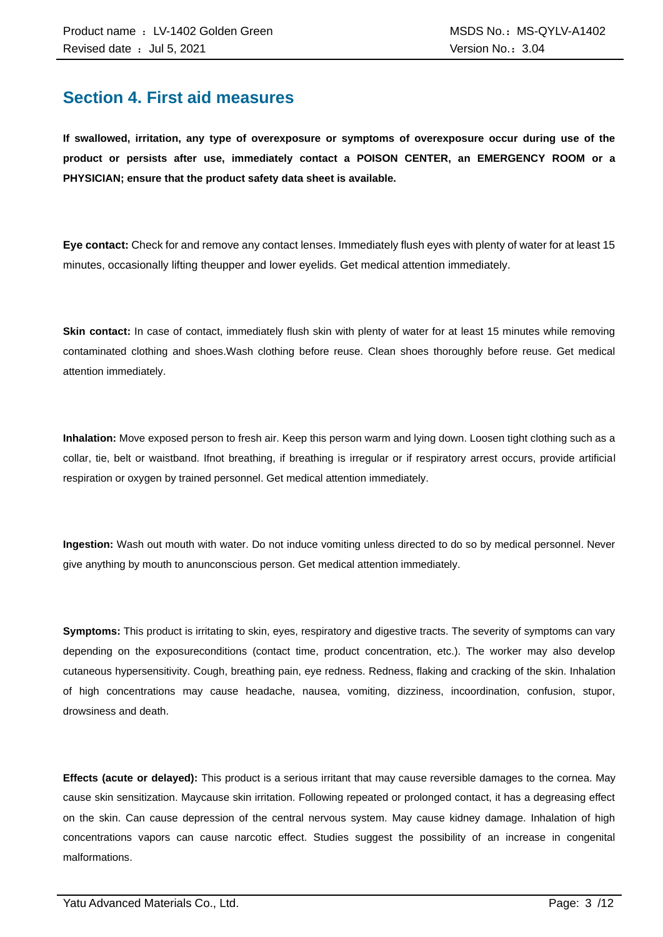### **Section 4. First aid measures**

**If swallowed, irritation, any type of overexposure or symptoms of overexposure occur during use of the product or persists after use, immediately contact a POISON CENTER, an EMERGENCY ROOM or a PHYSICIAN; ensure that the product safety data sheet is available.**

**Eye contact:** Check for and remove any contact lenses. Immediately flush eyes with plenty of water for at least 15 minutes, occasionally lifting theupper and lower eyelids. Get medical attention immediately.

**Skin contact:** In case of contact, immediately flush skin with plenty of water for at least 15 minutes while removing contaminated clothing and shoes.Wash clothing before reuse. Clean shoes thoroughly before reuse. Get medical attention immediately.

**Inhalation:** Move exposed person to fresh air. Keep this person warm and lying down. Loosen tight clothing such as a collar, tie, belt or waistband. Ifnot breathing, if breathing is irregular or if respiratory arrest occurs, provide artificial respiration or oxygen by trained personnel. Get medical attention immediately.

**Ingestion:** Wash out mouth with water. Do not induce vomiting unless directed to do so by medical personnel. Never give anything by mouth to anunconscious person. Get medical attention immediately.

**Symptoms:** This product is irritating to skin, eyes, respiratory and digestive tracts. The severity of symptoms can vary depending on the exposureconditions (contact time, product concentration, etc.). The worker may also develop cutaneous hypersensitivity. Cough, breathing pain, eye redness. Redness, flaking and cracking of the skin. Inhalation of high concentrations may cause headache, nausea, vomiting, dizziness, incoordination, confusion, stupor, drowsiness and death.

**Effects (acute or delayed):** This product is a serious irritant that may cause reversible damages to the cornea. May cause skin sensitization. Maycause skin irritation. Following repeated or prolonged contact, it has a degreasing effect on the skin. Can cause depression of the central nervous system. May cause kidney damage. Inhalation of high concentrations vapors can cause narcotic effect. Studies suggest the possibility of an increase in congenital malformations.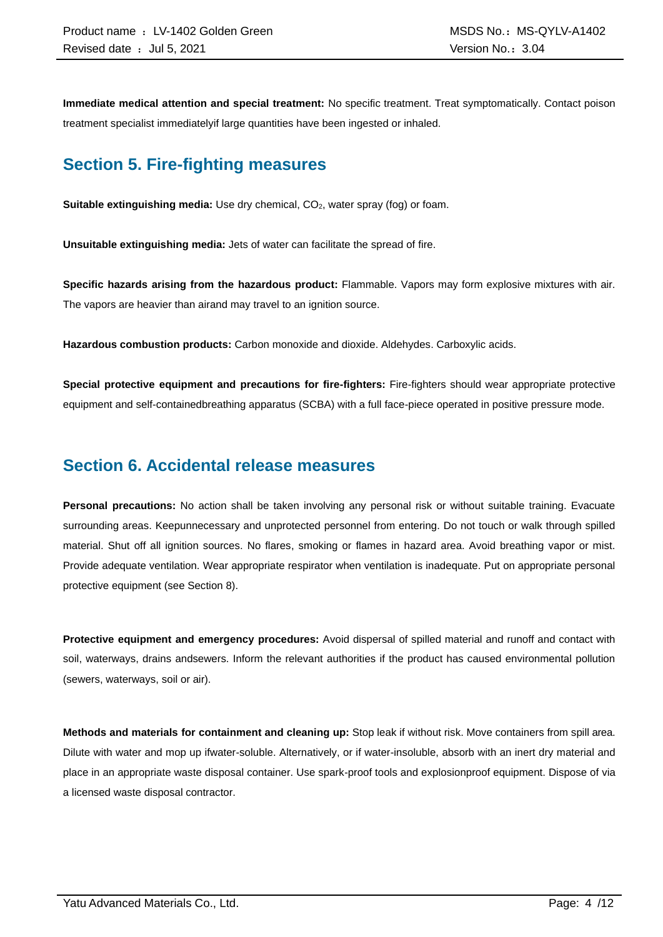**Immediate medical attention and special treatment:** No specific treatment. Treat symptomatically. Contact poison treatment specialist immediatelyif large quantities have been ingested or inhaled.

### **Section 5. Fire-fighting measures**

**Suitable extinguishing media:** Use dry chemical, CO<sub>2</sub>, water spray (fog) or foam.

**Unsuitable extinguishing media:** Jets of water can facilitate the spread of fire.

**Specific hazards arising from the hazardous product:** Flammable. Vapors may form explosive mixtures with air. The vapors are heavier than airand may travel to an ignition source.

**Hazardous combustion products:** Carbon monoxide and dioxide. Aldehydes. Carboxylic acids.

**Special protective equipment and precautions for fire-fighters:** Fire-fighters should wear appropriate protective equipment and self-containedbreathing apparatus (SCBA) with a full face-piece operated in positive pressure mode.

### **Section 6. Accidental release measures**

**Personal precautions:** No action shall be taken involving any personal risk or without suitable training. Evacuate surrounding areas. Keepunnecessary and unprotected personnel from entering. Do not touch or walk through spilled material. Shut off all ignition sources. No flares, smoking or flames in hazard area. Avoid breathing vapor or mist. Provide adequate ventilation. Wear appropriate respirator when ventilation is inadequate. Put on appropriate personal protective equipment (see Section 8).

**Protective equipment and emergency procedures:** Avoid dispersal of spilled material and runoff and contact with soil, waterways, drains andsewers. Inform the relevant authorities if the product has caused environmental pollution (sewers, waterways, soil or air).

**Methods and materials for containment and cleaning up:** Stop leak if without risk. Move containers from spill area. Dilute with water and mop up ifwater-soluble. Alternatively, or if water-insoluble, absorb with an inert dry material and place in an appropriate waste disposal container. Use spark-proof tools and explosionproof equipment. Dispose of via a licensed waste disposal contractor.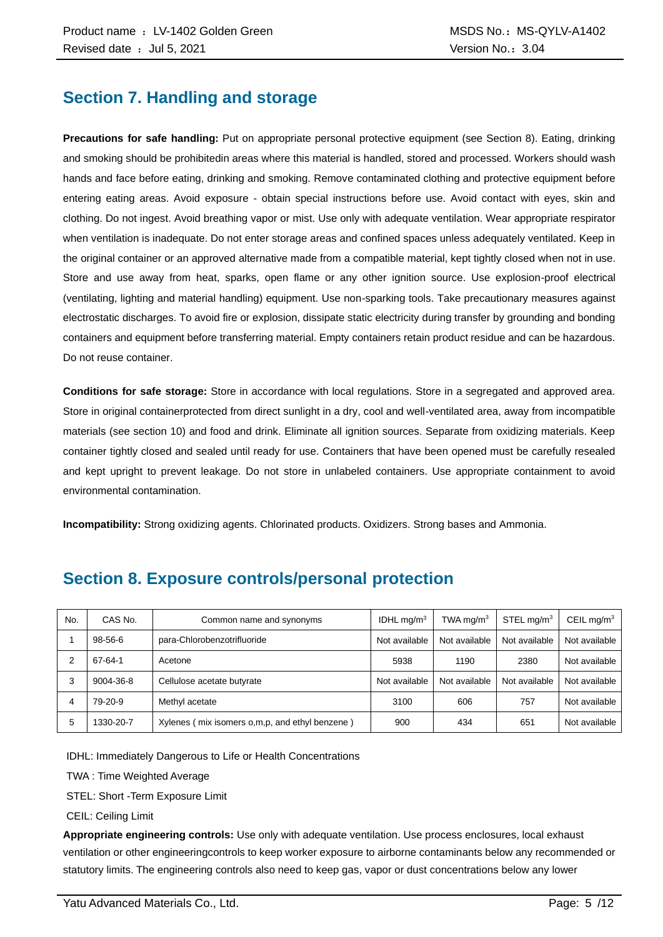### **Section 7. Handling and storage**

**Precautions for safe handling:** Put on appropriate personal protective equipment (see Section 8). Eating, drinking and smoking should be prohibitedin areas where this material is handled, stored and processed. Workers should wash hands and face before eating, drinking and smoking. Remove contaminated clothing and protective equipment before entering eating areas. Avoid exposure - obtain special instructions before use. Avoid contact with eyes, skin and clothing. Do not ingest. Avoid breathing vapor or mist. Use only with adequate ventilation. Wear appropriate respirator when ventilation is inadequate. Do not enter storage areas and confined spaces unless adequately ventilated. Keep in the original container or an approved alternative made from a compatible material, kept tightly closed when not in use. Store and use away from heat, sparks, open flame or any other ignition source. Use explosion-proof electrical (ventilating, lighting and material handling) equipment. Use non-sparking tools. Take precautionary measures against electrostatic discharges. To avoid fire or explosion, dissipate static electricity during transfer by grounding and bonding containers and equipment before transferring material. Empty containers retain product residue and can be hazardous. Do not reuse container.

**Conditions for safe storage:** Store in accordance with local regulations. Store in a segregated and approved area. Store in original containerprotected from direct sunlight in a dry, cool and well-ventilated area, away from incompatible materials (see section 10) and food and drink. Eliminate all ignition sources. Separate from oxidizing materials. Keep container tightly closed and sealed until ready for use. Containers that have been opened must be carefully resealed and kept upright to prevent leakage. Do not store in unlabeled containers. Use appropriate containment to avoid environmental contamination.

**Incompatibility:** Strong oxidizing agents. Chlorinated products. Oxidizers. Strong bases and Ammonia.

| No. | CAS No.   | Common name and synonyms                         | IDHL $mq/m3$  | TWA mg/m $3$  | STEL mg/ $m3$ | CEIL mg/m <sup>3</sup> |
|-----|-----------|--------------------------------------------------|---------------|---------------|---------------|------------------------|
|     | 98-56-6   | para-Chlorobenzotrifluoride                      | Not available | Not available | Not available | Not available          |
|     | 67-64-1   | Acetone                                          | 5938          | 1190          | 2380          | Not available          |
|     | 9004-36-8 | Cellulose acetate butyrate                       | Not available | Not available | Not available | Not available          |
| 4   | 79-20-9   | Methyl acetate                                   | 3100          | 606           | 757           | Not available          |
| 5   | 1330-20-7 | Xylenes (mix isomers o, m, p, and ethyl benzene) | 900           | 434           | 651           | Not available          |

### **Section 8. Exposure controls/personal protection**

IDHL: Immediately Dangerous to Life or Health Concentrations

TWA : Time Weighted Average

STEL: Short -Term Exposure Limit

CEIL: Ceiling Limit

**Appropriate engineering controls:** Use only with adequate ventilation. Use process enclosures, local exhaust ventilation or other engineeringcontrols to keep worker exposure to airborne contaminants below any recommended or statutory limits. The engineering controls also need to keep gas, vapor or dust concentrations below any lower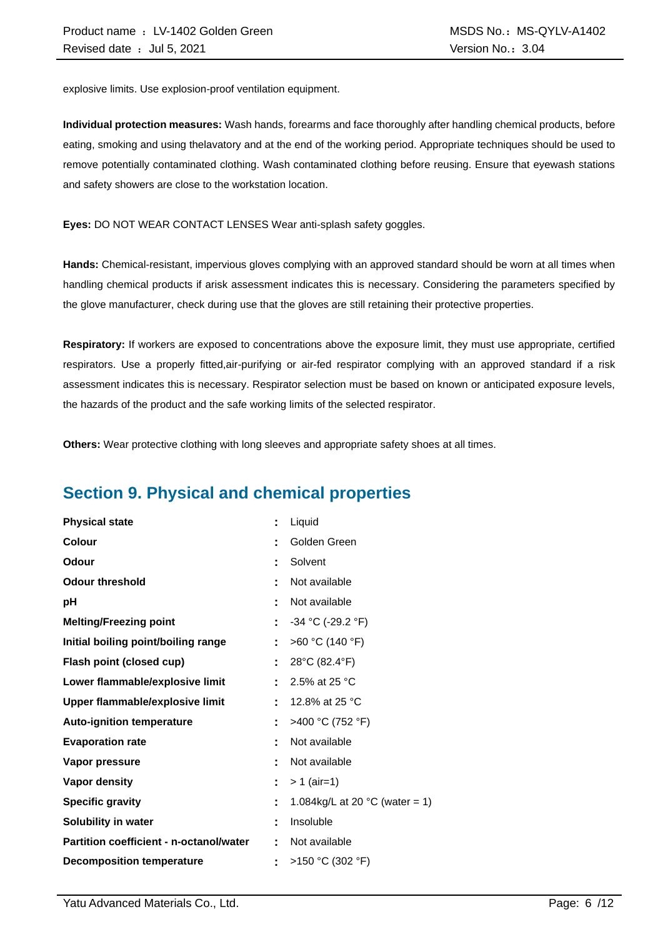explosive limits. Use explosion-proof ventilation equipment.

**Individual protection measures:** Wash hands, forearms and face thoroughly after handling chemical products, before eating, smoking and using thelavatory and at the end of the working period. Appropriate techniques should be used to remove potentially contaminated clothing. Wash contaminated clothing before reusing. Ensure that eyewash stations and safety showers are close to the workstation location.

**Eyes:** DO NOT WEAR CONTACT LENSES Wear anti-splash safety goggles.

**Hands:** Chemical-resistant, impervious gloves complying with an approved standard should be worn at all times when handling chemical products if arisk assessment indicates this is necessary. Considering the parameters specified by the glove manufacturer, check during use that the gloves are still retaining their protective properties.

**Respiratory:** If workers are exposed to concentrations above the exposure limit, they must use appropriate, certified respirators. Use a properly fitted,air-purifying or air-fed respirator complying with an approved standard if a risk assessment indicates this is necessary. Respirator selection must be based on known or anticipated exposure levels, the hazards of the product and the safe working limits of the selected respirator.

**Others:** Wear protective clothing with long sleeves and appropriate safety shoes at all times.

### **Section 9. Physical and chemical properties**

| <b>Physical state</b>                          | t  | Liquid                                   |
|------------------------------------------------|----|------------------------------------------|
| <b>Colour</b>                                  |    | Golden Green                             |
| Odour                                          |    | Solvent                                  |
| <b>Odour threshold</b>                         |    | Not available                            |
| рH                                             |    | Not available                            |
| <b>Melting/Freezing point</b>                  | ÷  | $-34$ °C (-29.2 °F)                      |
| Initial boiling point/boiling range            | ÷. | >60 °C (140 °F)                          |
| Flash point (closed cup)                       | Ì. | 28°C (82.4°F)                            |
| Lower flammable/explosive limit                |    | 2.5% at 25 °C                            |
| Upper flammable/explosive limit                |    | 12.8% at 25 °C                           |
| <b>Auto-ignition temperature</b>               | t  | >400 °C (752 °F)                         |
| <b>Evaporation rate</b>                        |    | Not available                            |
| Vapor pressure                                 |    | Not available                            |
| <b>Vapor density</b>                           | ÷  | $> 1$ (air=1)                            |
| <b>Specific gravity</b>                        | t  | 1.084kg/L at 20 $^{\circ}$ C (water = 1) |
| Solubility in water                            | ٠  | Insoluble                                |
| <b>Partition coefficient - n-octanol/water</b> | t  | Not available                            |
| <b>Decomposition temperature</b>               |    | >150 °C (302 °F)                         |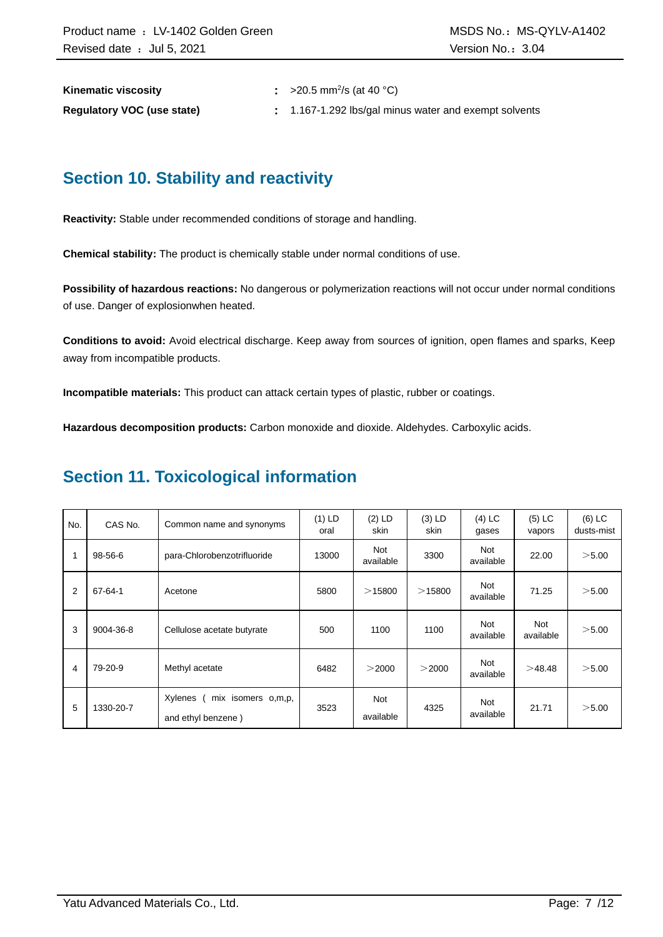**Kinematic viscosity** 

:  $>20.5$  mm<sup>2</sup>/s (at 40 °C)

**Regulatory VOC (use state) :** 1.167-1.292 lbs/gal minus water and exempt solvents

### **Section 10. Stability and reactivity**

**Reactivity:** Stable under recommended conditions of storage and handling.

**Chemical stability:** The product is chemically stable under normal conditions of use.

**Possibility of hazardous reactions:** No dangerous or polymerization reactions will not occur under normal conditions of use. Danger of explosionwhen heated.

**Conditions to avoid:** Avoid electrical discharge. Keep away from sources of ignition, open flames and sparks, Keep away from incompatible products.

**Incompatible materials:** This product can attack certain types of plastic, rubber or coatings.

**Hazardous decomposition products:** Carbon monoxide and dioxide. Aldehydes. Carboxylic acids.

### **Section 11. Toxicological information**

| No. | CAS No.   | Common name and synonyms                            | $(1)$ LD<br>oral | $(2)$ LD<br>skin        | $(3)$ LD<br>skin | $(4)$ LC<br>gases       | $(5)$ LC<br>vapors | $(6)$ LC<br>dusts-mist |
|-----|-----------|-----------------------------------------------------|------------------|-------------------------|------------------|-------------------------|--------------------|------------------------|
| 1   | 98-56-6   | para-Chlorobenzotrifluoride                         | 13000            | <b>Not</b><br>available | 3300             | Not<br>available        | 22.00              | >5.00                  |
| 2   | 67-64-1   | Acetone                                             | 5800             | >15800                  | $>$ 15800        | Not<br>available        | 71.25              | > 5.00                 |
| 3   | 9004-36-8 | Cellulose acetate butyrate                          | 500              | 1100                    | 1100             | <b>Not</b><br>available | Not<br>available   | >5.00                  |
| 4   | 79-20-9   | Methyl acetate                                      | 6482             | >2000                   | >2000            | Not<br>available        | >48.48             | > 5.00                 |
| 5   | 1330-20-7 | Xylenes<br>mix isomers o,m,p,<br>and ethyl benzene) | 3523             | <b>Not</b><br>available | 4325             | Not<br>available        | 21.71              | $>$ 5.00               |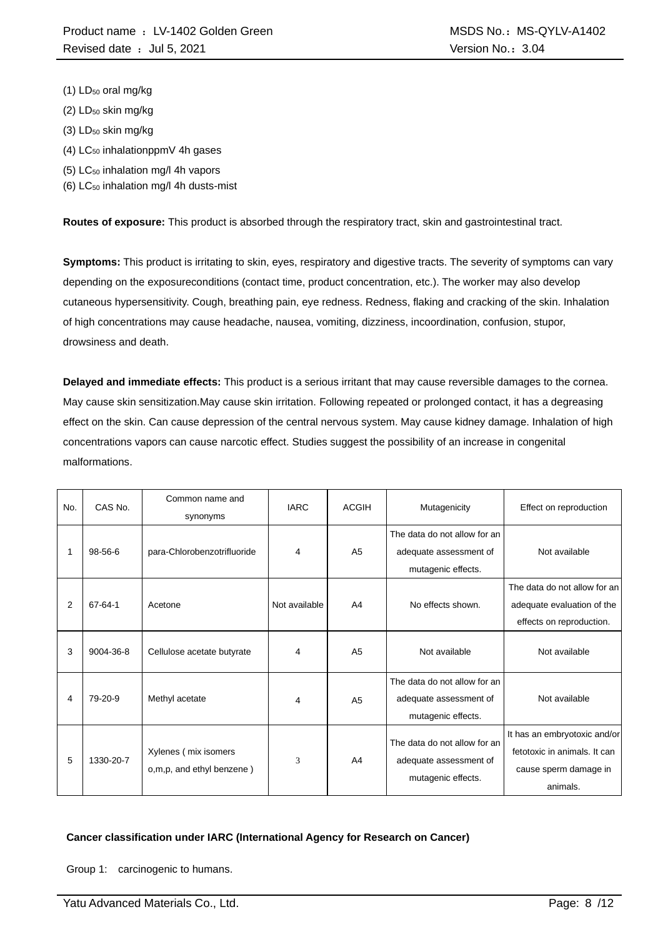- (1) LD<sub>50</sub> oral mg/kg
- $(2)$  LD<sub>50</sub> skin mg/kg
- (3) LD<sub>50</sub> skin mg/kg
- $(4)$  LC<sub>50</sub> inhalationppmV 4h gases
- (5) LC<sup>50</sup> inhalation mg/l 4h vapors
- $(6)$  LC<sub>50</sub> inhalation mg/l 4h dusts-mist

**Routes of exposure:** This product is absorbed through the respiratory tract, skin and gastrointestinal tract.

**Symptoms:** This product is irritating to skin, eyes, respiratory and digestive tracts. The severity of symptoms can vary depending on the exposureconditions (contact time, product concentration, etc.). The worker may also develop cutaneous hypersensitivity. Cough, breathing pain, eye redness. Redness, flaking and cracking of the skin. Inhalation of high concentrations may cause headache, nausea, vomiting, dizziness, incoordination, confusion, stupor, drowsiness and death.

**Delayed and immediate effects:** This product is a serious irritant that may cause reversible damages to the cornea. May cause skin sensitization.May cause skin irritation. Following repeated or prolonged contact, it has a degreasing effect on the skin. Can cause depression of the central nervous system. May cause kidney damage. Inhalation of high concentrations vapors can cause narcotic effect. Studies suggest the possibility of an increase in congenital malformations.

| No. | CAS No.       | Common name and<br>synonyms                       | <b>IARC</b>   | <b>ACGIH</b>   | Mutagenicity                                                                 | Effect on reproduction                                                                            |
|-----|---------------|---------------------------------------------------|---------------|----------------|------------------------------------------------------------------------------|---------------------------------------------------------------------------------------------------|
|     | $98 - 56 - 6$ | para-Chlorobenzotrifluoride                       | 4             | A <sub>5</sub> | The data do not allow for an<br>adequate assessment of<br>mutagenic effects. | Not available                                                                                     |
| 2   | 67-64-1       | Acetone                                           | Not available | A <sub>4</sub> | No effects shown.                                                            | The data do not allow for an<br>adequate evaluation of the<br>effects on reproduction.            |
| 3   | 9004-36-8     | Cellulose acetate butyrate                        | 4             | A <sub>5</sub> | Not available                                                                | Not available                                                                                     |
| 4   | 79-20-9       | Methyl acetate                                    | 4             | A <sub>5</sub> | The data do not allow for an<br>adequate assessment of<br>mutagenic effects. | Not available                                                                                     |
| 5   | 1330-20-7     | Xylenes (mix isomers<br>o,m,p, and ethyl benzene) | 3             | A4             | The data do not allow for an<br>adequate assessment of<br>mutagenic effects. | It has an embryotoxic and/or<br>fetotoxic in animals. It can<br>cause sperm damage in<br>animals. |

#### **Cancer classification under IARC (International Agency for Research on Cancer)**

Group 1: carcinogenic to humans.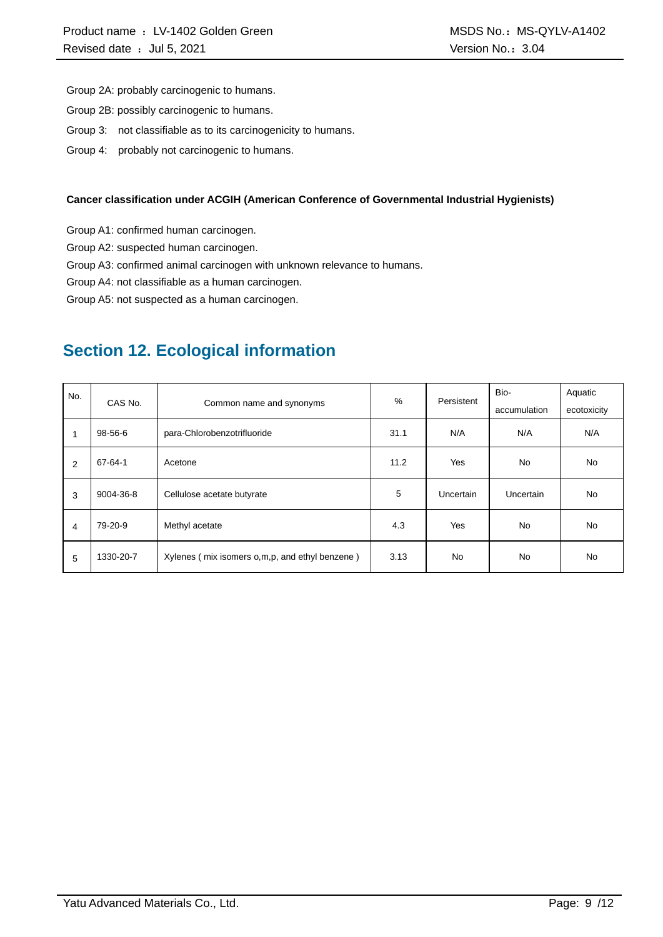Group 2A: probably carcinogenic to humans.

- Group 2B: possibly carcinogenic to humans.
- Group 3: not classifiable as to its carcinogenicity to humans.
- Group 4: probably not carcinogenic to humans.

#### **Cancer classification under ACGIH (American Conference of Governmental Industrial Hygienists)**

Group A1: confirmed human carcinogen.

Group A2: suspected human carcinogen.

Group A3: confirmed animal carcinogen with unknown relevance to humans.

Group A4: not classifiable as a human carcinogen.

Group A5: not suspected as a human carcinogen.

### **Section 12. Ecological information**

| No. |           |                                                | $\%$ | Persistent | Bio-         | Aquatic     |
|-----|-----------|------------------------------------------------|------|------------|--------------|-------------|
|     | CAS No.   | Common name and synonyms                       |      |            | accumulation | ecotoxicity |
|     | 98-56-6   | para-Chlorobenzotrifluoride                    | 31.1 | N/A        | N/A          | N/A         |
| 2   | 67-64-1   | Acetone                                        | 11.2 | Yes        | <b>No</b>    | No.         |
| 3   | 9004-36-8 | Cellulose acetate butyrate                     | 5    | Uncertain  | Uncertain    | No.         |
| 4   | 79-20-9   | Methyl acetate                                 | 4.3  | Yes        | <b>No</b>    | <b>No</b>   |
| 5   | 1330-20-7 | Xylenes (mix isomers o,m,p, and ethyl benzene) | 3.13 | <b>No</b>  | No           | <b>No</b>   |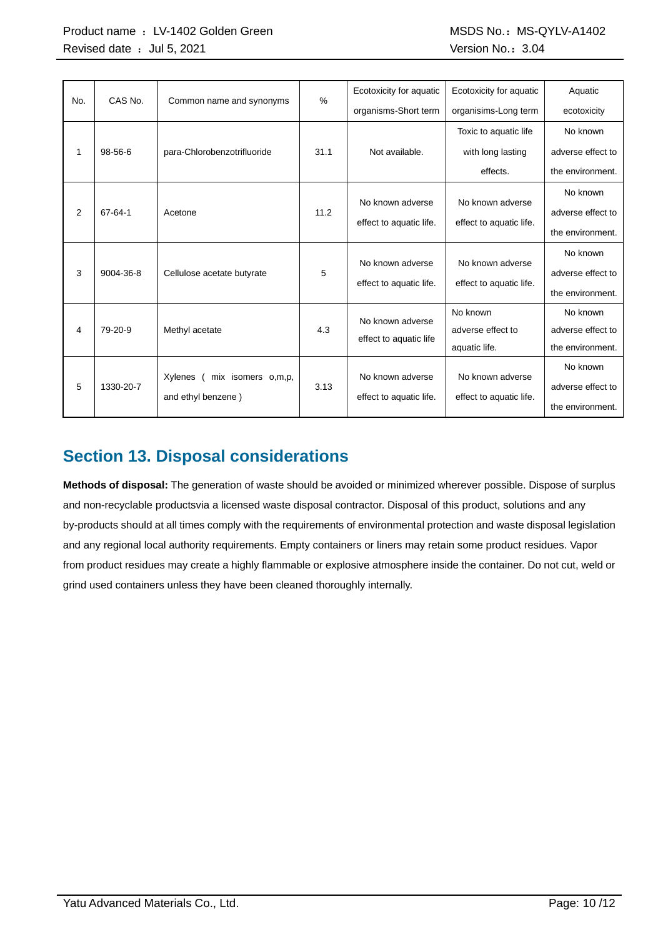| No. | CAS No.   | Common name and synonyms        | $\%$ | Ecotoxicity for aquatic | Ecotoxicity for aquatic | Aquatic           |
|-----|-----------|---------------------------------|------|-------------------------|-------------------------|-------------------|
|     |           |                                 |      | organisms-Short term    | organisims-Long term    | ecotoxicity       |
|     |           |                                 |      |                         | Toxic to aquatic life   | No known          |
| 1   | 98-56-6   | para-Chlorobenzotrifluoride     | 31.1 | Not available.          | with long lasting       | adverse effect to |
|     |           |                                 |      |                         | effects.                | the environment.  |
|     |           |                                 |      |                         |                         | No known          |
| 2   | 67-64-1   | Acetone                         | 11.2 | No known adverse        | No known adverse        | adverse effect to |
|     |           |                                 |      | effect to aquatic life. | effect to aquatic life. | the environment.  |
|     |           |                                 |      |                         |                         | No known          |
| 3   | 9004-36-8 | Cellulose acetate butyrate      | 5    | No known adverse        | No known adverse        | adverse effect to |
|     |           |                                 |      | effect to aquatic life. | effect to aquatic life. | the environment.  |
|     |           |                                 |      | No known adverse        | No known                | No known          |
| 4   | 79-20-9   | Methyl acetate                  | 4.3  | effect to aquatic life  | adverse effect to       | adverse effect to |
|     |           |                                 |      |                         | aquatic life.           | the environment.  |
|     |           |                                 |      | No known adverse        | No known adverse        | No known          |
| 5   | 1330-20-7 | mix isomers o,m,p,<br>Xylenes ( | 3.13 |                         |                         | adverse effect to |
|     |           | and ethyl benzene)              |      | effect to aquatic life. | effect to aquatic life. | the environment.  |

### **Section 13. Disposal considerations**

**Methods of disposal:** The generation of waste should be avoided or minimized wherever possible. Dispose of surplus and non-recyclable productsvia a licensed waste disposal contractor. Disposal of this product, solutions and any by-products should at all times comply with the requirements of environmental protection and waste disposal legislation and any regional local authority requirements. Empty containers or liners may retain some product residues. Vapor from product residues may create a highly flammable or explosive atmosphere inside the container. Do not cut, weld or grind used containers unless they have been cleaned thoroughly internally.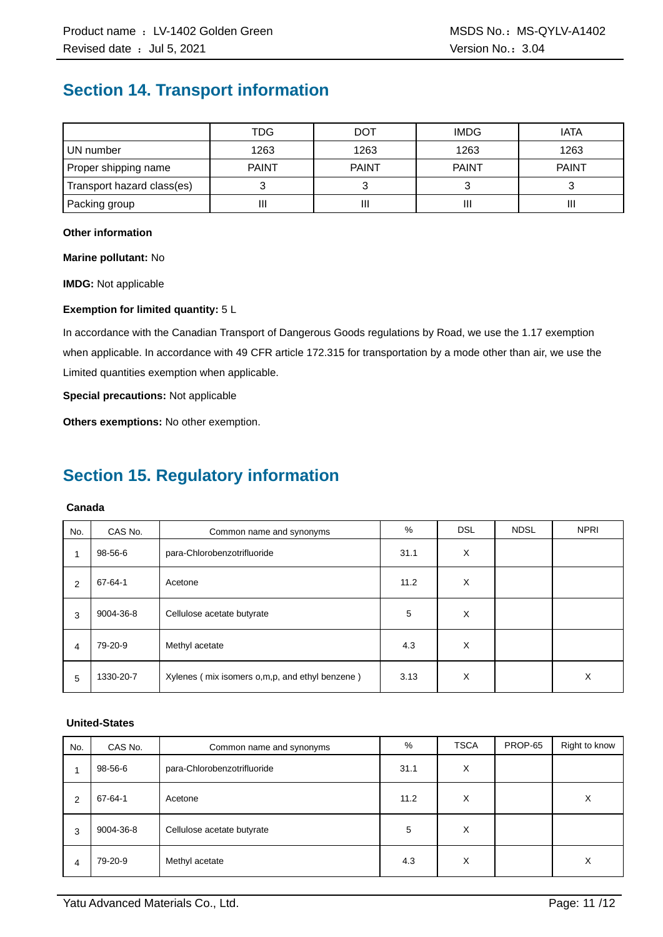### **Section 14. Transport information**

|                            | TDG          | <b>DOT</b>   | <b>IMDG</b>  | <b>IATA</b>  |
|----------------------------|--------------|--------------|--------------|--------------|
| UN number                  | 1263         | 1263         | 1263         | 1263         |
| Proper shipping name       | <b>PAINT</b> | <b>PAINT</b> | <b>PAINT</b> | <b>PAINT</b> |
| Transport hazard class(es) |              |              |              |              |
| Packing group              | П            | Ш            |              | Ш            |

#### **Other information**

**Marine pollutant:** No

**IMDG:** Not applicable

#### **Exemption for limited quantity:** 5 L

In accordance with the Canadian Transport of Dangerous Goods regulations by Road, we use the 1.17 exemption when applicable. In accordance with 49 CFR article 172.315 for transportation by a mode other than air, we use the Limited quantities exemption when applicable.

**Special precautions:** Not applicable

**Others exemptions:** No other exemption.

## **Section 15. Regulatory information**

### **Canada**

| No. | CAS No.   | Common name and synonyms                       | %    | <b>DSL</b> | <b>NDSL</b> | <b>NPRI</b> |
|-----|-----------|------------------------------------------------|------|------------|-------------|-------------|
| 1   | 98-56-6   | para-Chlorobenzotrifluoride                    | 31.1 | X          |             |             |
| 2   | 67-64-1   | Acetone                                        | 11.2 | X          |             |             |
| 3   | 9004-36-8 | Cellulose acetate butyrate                     | 5    | X          |             |             |
| 4   | 79-20-9   | Methyl acetate                                 | 4.3  | X          |             |             |
| 5   | 1330-20-7 | Xylenes (mix isomers o,m,p, and ethyl benzene) | 3.13 | X          |             | X           |

### **United-States**

| No. | CAS No.   | Common name and synonyms    | %    | <b>TSCA</b> | PROP-65 | Right to know |
|-----|-----------|-----------------------------|------|-------------|---------|---------------|
|     | 98-56-6   | para-Chlorobenzotrifluoride | 31.1 | X           |         |               |
| 2   | 67-64-1   | Acetone                     | 11.2 | X           |         | X             |
| 3   | 9004-36-8 | Cellulose acetate butyrate  | 5    | X           |         |               |
| 4   | 79-20-9   | Methyl acetate              | 4.3  | X           |         | X             |